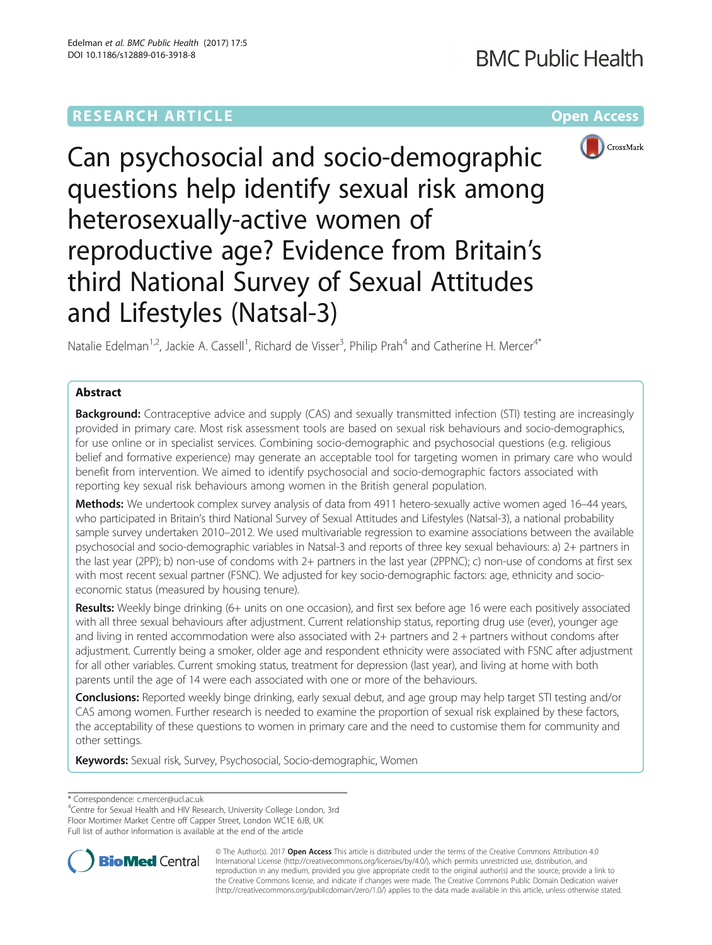# **RESEARCH ARTICLE Example 2014 12:30 The Community Community Community Community Community Community Community**



Can psychosocial and socio-demographic questions help identify sexual risk among heterosexually-active women of reproductive age? Evidence from Britain's third National Survey of Sexual Attitudes and Lifestyles (Natsal-3)

Natalie Edelman<sup>1,2</sup>, Jackie A. Cassell<sup>1</sup>, Richard de Visser<sup>3</sup>, Philip Prah<sup>4</sup> and Catherine H. Mercer<sup>4\*</sup>

# Abstract

**Background:** Contraceptive advice and supply (CAS) and sexually transmitted infection (STI) testing are increasingly provided in primary care. Most risk assessment tools are based on sexual risk behaviours and socio-demographics, for use online or in specialist services. Combining socio-demographic and psychosocial questions (e.g. religious belief and formative experience) may generate an acceptable tool for targeting women in primary care who would benefit from intervention. We aimed to identify psychosocial and socio-demographic factors associated with reporting key sexual risk behaviours among women in the British general population.

Methods: We undertook complex survey analysis of data from 4911 hetero-sexually active women aged 16–44 years, who participated in Britain's third National Survey of Sexual Attitudes and Lifestyles (Natsal-3), a national probability sample survey undertaken 2010–2012. We used multivariable regression to examine associations between the available psychosocial and socio-demographic variables in Natsal-3 and reports of three key sexual behaviours: a) 2+ partners in the last year (2PP); b) non-use of condoms with 2+ partners in the last year (2PPNC); c) non-use of condoms at first sex with most recent sexual partner (FSNC). We adjusted for key socio-demographic factors: age, ethnicity and socioeconomic status (measured by housing tenure).

Results: Weekly binge drinking (6+ units on one occasion), and first sex before age 16 were each positively associated with all three sexual behaviours after adjustment. Current relationship status, reporting drug use (ever), younger age and living in rented accommodation were also associated with 2+ partners and 2 + partners without condoms after adjustment. Currently being a smoker, older age and respondent ethnicity were associated with FSNC after adjustment for all other variables. Current smoking status, treatment for depression (last year), and living at home with both parents until the age of 14 were each associated with one or more of the behaviours.

Conclusions: Reported weekly binge drinking, early sexual debut, and age group may help target STI testing and/or CAS among women. Further research is needed to examine the proportion of sexual risk explained by these factors, the acceptability of these questions to women in primary care and the need to customise them for community and other settings.

Keywords: Sexual risk, Survey, Psychosocial, Socio-demographic, Women

\* Correspondence: [c.mercer@ucl.ac.uk](mailto:c.mercer@ucl.ac.uk) <sup>4</sup>

<sup>4</sup>Centre for Sexual Health and HIV Research, University College London, 3rd Floor Mortimer Market Centre off Capper Street, London WC1E 6JB, UK Full list of author information is available at the end of the article



© The Author(s). 2017 **Open Access** This article is distributed under the terms of the Creative Commons Attribution 4.0 International License [\(http://creativecommons.org/licenses/by/4.0/](http://creativecommons.org/licenses/by/4.0/)), which permits unrestricted use, distribution, and reproduction in any medium, provided you give appropriate credit to the original author(s) and the source, provide a link to the Creative Commons license, and indicate if changes were made. The Creative Commons Public Domain Dedication waiver [\(http://creativecommons.org/publicdomain/zero/1.0/](http://creativecommons.org/publicdomain/zero/1.0/)) applies to the data made available in this article, unless otherwise stated.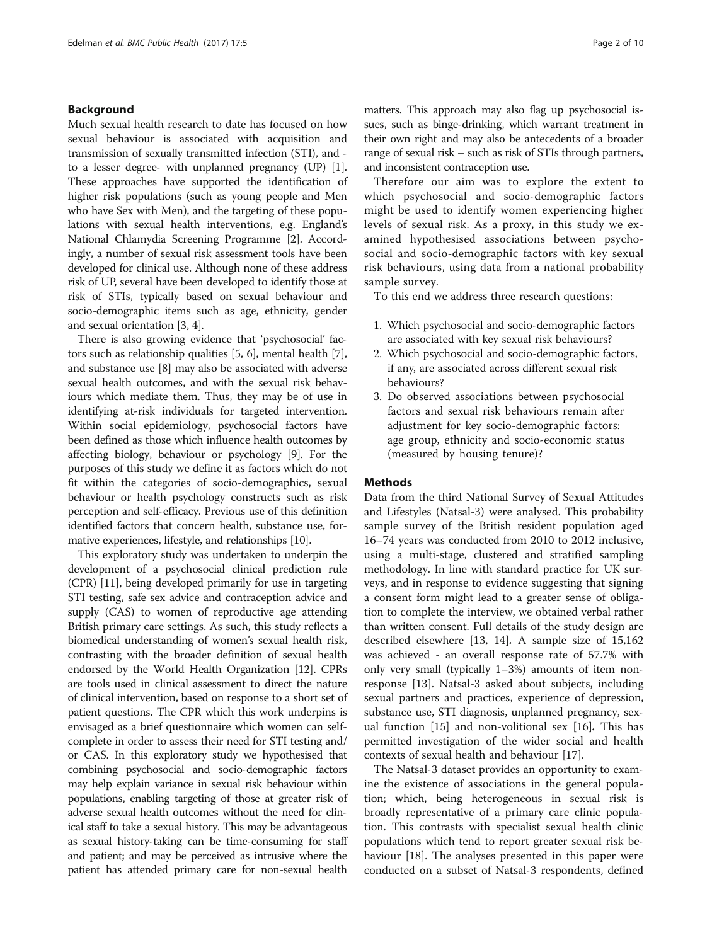# Background

Much sexual health research to date has focused on how sexual behaviour is associated with acquisition and transmission of sexually transmitted infection (STI), and to a lesser degree- with unplanned pregnancy (UP) [[1](#page-8-0)]. These approaches have supported the identification of higher risk populations (such as young people and Men who have Sex with Men), and the targeting of these populations with sexual health interventions, e.g. England's National Chlamydia Screening Programme [\[2\]](#page-8-0). Accordingly, a number of sexual risk assessment tools have been developed for clinical use. Although none of these address risk of UP, several have been developed to identify those at risk of STIs, typically based on sexual behaviour and socio-demographic items such as age, ethnicity, gender and sexual orientation [\[3](#page-8-0), [4\]](#page-8-0).

There is also growing evidence that 'psychosocial' factors such as relationship qualities [[5](#page-8-0), [6](#page-8-0)], mental health [[7](#page-8-0)], and substance use [[8](#page-8-0)] may also be associated with adverse sexual health outcomes, and with the sexual risk behaviours which mediate them. Thus, they may be of use in identifying at-risk individuals for targeted intervention. Within social epidemiology, psychosocial factors have been defined as those which influence health outcomes by affecting biology, behaviour or psychology [[9](#page-8-0)]. For the purposes of this study we define it as factors which do not fit within the categories of socio-demographics, sexual behaviour or health psychology constructs such as risk perception and self-efficacy. Previous use of this definition identified factors that concern health, substance use, formative experiences, lifestyle, and relationships [[10](#page-8-0)].

This exploratory study was undertaken to underpin the development of a psychosocial clinical prediction rule (CPR) [\[11\]](#page-8-0), being developed primarily for use in targeting STI testing, safe sex advice and contraception advice and supply (CAS) to women of reproductive age attending British primary care settings. As such, this study reflects a biomedical understanding of women's sexual health risk, contrasting with the broader definition of sexual health endorsed by the World Health Organization [[12](#page-8-0)]. CPRs are tools used in clinical assessment to direct the nature of clinical intervention, based on response to a short set of patient questions. The CPR which this work underpins is envisaged as a brief questionnaire which women can selfcomplete in order to assess their need for STI testing and/ or CAS. In this exploratory study we hypothesised that combining psychosocial and socio-demographic factors may help explain variance in sexual risk behaviour within populations, enabling targeting of those at greater risk of adverse sexual health outcomes without the need for clinical staff to take a sexual history. This may be advantageous as sexual history-taking can be time-consuming for staff and patient; and may be perceived as intrusive where the patient has attended primary care for non-sexual health matters. This approach may also flag up psychosocial issues, such as binge-drinking, which warrant treatment in their own right and may also be antecedents of a broader range of sexual risk – such as risk of STIs through partners, and inconsistent contraception use.

Therefore our aim was to explore the extent to which psychosocial and socio-demographic factors might be used to identify women experiencing higher levels of sexual risk. As a proxy, in this study we examined hypothesised associations between psychosocial and socio-demographic factors with key sexual risk behaviours, using data from a national probability sample survey.

To this end we address three research questions:

- 1. Which psychosocial and socio-demographic factors are associated with key sexual risk behaviours?
- 2. Which psychosocial and socio-demographic factors, if any, are associated across different sexual risk behaviours?
- 3. Do observed associations between psychosocial factors and sexual risk behaviours remain after adjustment for key socio-demographic factors: age group, ethnicity and socio-economic status (measured by housing tenure)?

## **Methods**

Data from the third National Survey of Sexual Attitudes and Lifestyles (Natsal-3) were analysed. This probability sample survey of the British resident population aged 16–74 years was conducted from 2010 to 2012 inclusive, using a multi-stage, clustered and stratified sampling methodology. In line with standard practice for UK surveys, and in response to evidence suggesting that signing a consent form might lead to a greater sense of obligation to complete the interview, we obtained verbal rather than written consent. Full details of the study design are described elsewhere [\[13](#page-8-0), [14](#page-8-0)]. A sample size of 15,162 was achieved - an overall response rate of 57.7% with only very small (typically 1–3%) amounts of item nonresponse [\[13\]](#page-8-0). Natsal-3 asked about subjects, including sexual partners and practices, experience of depression, substance use, STI diagnosis, unplanned pregnancy, sexual function [\[15](#page-8-0)] and non-volitional sex [[16](#page-8-0)]. This has permitted investigation of the wider social and health contexts of sexual health and behaviour [[17](#page-8-0)].

The Natsal-3 dataset provides an opportunity to examine the existence of associations in the general population; which, being heterogeneous in sexual risk is broadly representative of a primary care clinic population. This contrasts with specialist sexual health clinic populations which tend to report greater sexual risk behaviour [[18](#page-8-0)]. The analyses presented in this paper were conducted on a subset of Natsal-3 respondents, defined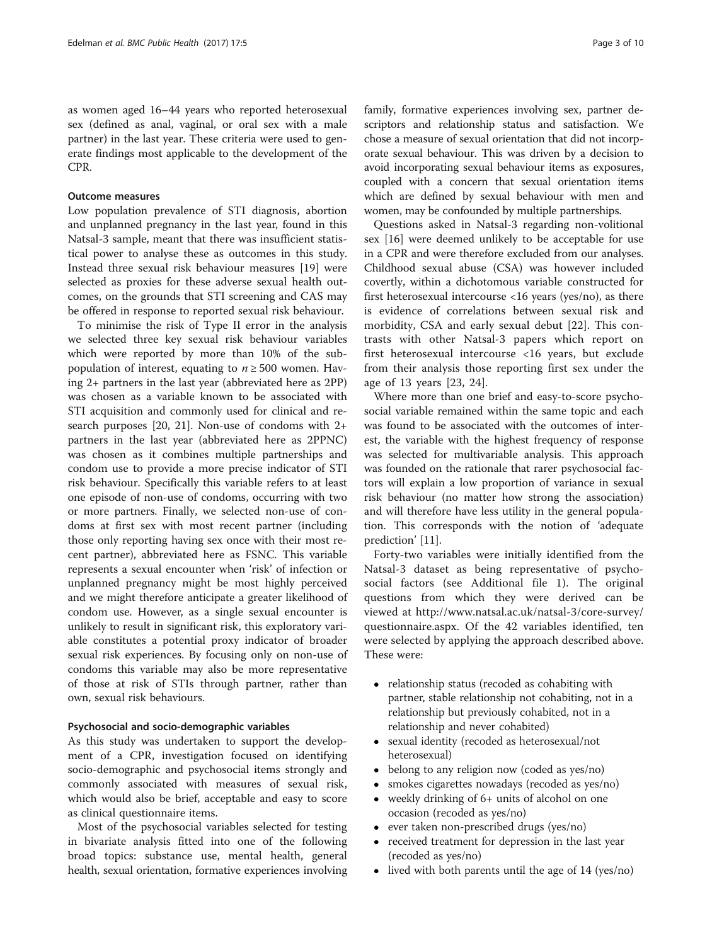as women aged 16–44 years who reported heterosexual sex (defined as anal, vaginal, or oral sex with a male partner) in the last year. These criteria were used to generate findings most applicable to the development of the CPR.

# Outcome measures

Low population prevalence of STI diagnosis, abortion and unplanned pregnancy in the last year, found in this Natsal-3 sample, meant that there was insufficient statistical power to analyse these as outcomes in this study. Instead three sexual risk behaviour measures [\[19\]](#page-8-0) were selected as proxies for these adverse sexual health outcomes, on the grounds that STI screening and CAS may be offered in response to reported sexual risk behaviour.

To minimise the risk of Type II error in the analysis we selected three key sexual risk behaviour variables which were reported by more than 10% of the subpopulation of interest, equating to  $n \geq 500$  women. Having 2+ partners in the last year (abbreviated here as 2PP) was chosen as a variable known to be associated with STI acquisition and commonly used for clinical and research purposes [\[20](#page-8-0), [21](#page-8-0)]. Non-use of condoms with 2+ partners in the last year (abbreviated here as 2PPNC) was chosen as it combines multiple partnerships and condom use to provide a more precise indicator of STI risk behaviour. Specifically this variable refers to at least one episode of non-use of condoms, occurring with two or more partners. Finally, we selected non-use of condoms at first sex with most recent partner (including those only reporting having sex once with their most recent partner), abbreviated here as FSNC. This variable represents a sexual encounter when 'risk' of infection or unplanned pregnancy might be most highly perceived and we might therefore anticipate a greater likelihood of condom use. However, as a single sexual encounter is unlikely to result in significant risk, this exploratory variable constitutes a potential proxy indicator of broader sexual risk experiences. By focusing only on non-use of condoms this variable may also be more representative of those at risk of STIs through partner, rather than own, sexual risk behaviours.

### Psychosocial and socio-demographic variables

As this study was undertaken to support the development of a CPR, investigation focused on identifying socio-demographic and psychosocial items strongly and commonly associated with measures of sexual risk, which would also be brief, acceptable and easy to score as clinical questionnaire items.

Most of the psychosocial variables selected for testing in bivariate analysis fitted into one of the following broad topics: substance use, mental health, general health, sexual orientation, formative experiences involving family, formative experiences involving sex, partner descriptors and relationship status and satisfaction. We chose a measure of sexual orientation that did not incorporate sexual behaviour. This was driven by a decision to avoid incorporating sexual behaviour items as exposures, coupled with a concern that sexual orientation items which are defined by sexual behaviour with men and women, may be confounded by multiple partnerships.

Questions asked in Natsal-3 regarding non-volitional sex [[16\]](#page-8-0) were deemed unlikely to be acceptable for use in a CPR and were therefore excluded from our analyses. Childhood sexual abuse (CSA) was however included covertly, within a dichotomous variable constructed for first heterosexual intercourse <16 years (yes/no), as there is evidence of correlations between sexual risk and morbidity, CSA and early sexual debut [[22](#page-8-0)]. This contrasts with other Natsal-3 papers which report on first heterosexual intercourse <16 years, but exclude from their analysis those reporting first sex under the age of 13 years [[23, 24\]](#page-8-0).

Where more than one brief and easy-to-score psychosocial variable remained within the same topic and each was found to be associated with the outcomes of interest, the variable with the highest frequency of response was selected for multivariable analysis. This approach was founded on the rationale that rarer psychosocial factors will explain a low proportion of variance in sexual risk behaviour (no matter how strong the association) and will therefore have less utility in the general population. This corresponds with the notion of 'adequate prediction' [[11](#page-8-0)].

Forty-two variables were initially identified from the Natsal-3 dataset as being representative of psychosocial factors (see Additional file [1](#page-7-0)). The original questions from which they were derived can be viewed at [http://www.natsal.ac.uk/natsal-3/core-survey/](http://www.natsal.ac.uk/natsal-3/core-survey/questionnaire.aspx) [questionnaire.aspx](http://www.natsal.ac.uk/natsal-3/core-survey/questionnaire.aspx). Of the 42 variables identified, ten were selected by applying the approach described above. These were:

- relationship status (recoded as cohabiting with partner, stable relationship not cohabiting, not in a relationship but previously cohabited, not in a relationship and never cohabited)
- sexual identity (recoded as heterosexual/not heterosexual)
- belong to any religion now (coded as yes/no)
- smokes cigarettes nowadays (recoded as yes/no)
- weekly drinking of 6+ units of alcohol on one occasion (recoded as yes/no)
- ever taken non-prescribed drugs (yes/no)
- received treatment for depression in the last year (recoded as yes/no)
- lived with both parents until the age of 14 (yes/no)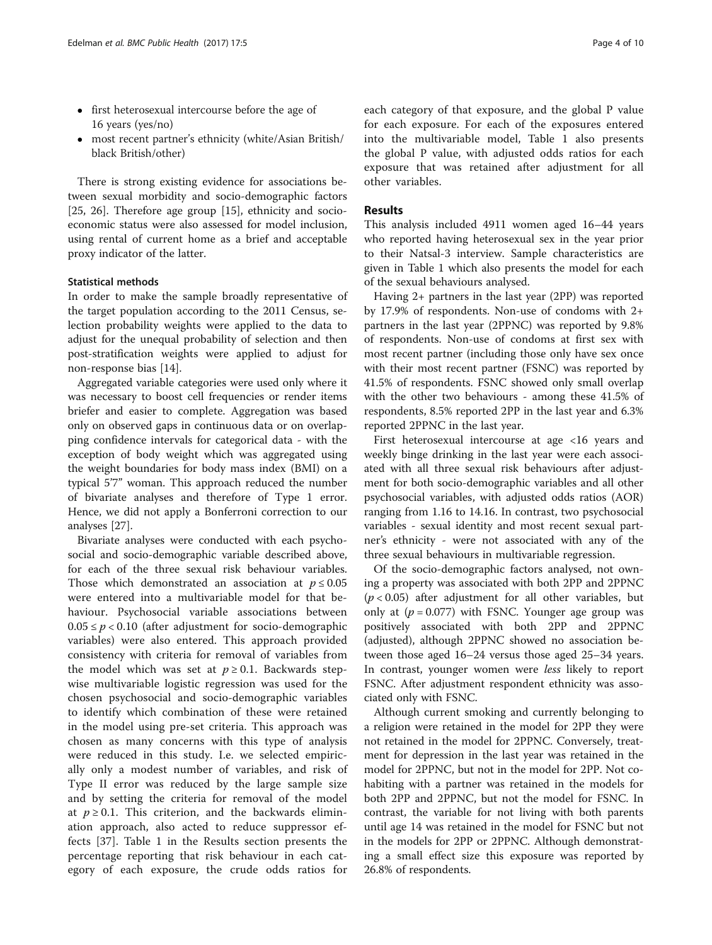- first heterosexual intercourse before the age of 16 years (yes/no)
- most recent partner's ethnicity (white/Asian British/ black British/other)

There is strong existing evidence for associations between sexual morbidity and socio-demographic factors [[25, 26\]](#page-8-0). Therefore age group [\[15](#page-8-0)], ethnicity and socioeconomic status were also assessed for model inclusion, using rental of current home as a brief and acceptable proxy indicator of the latter.

## Statistical methods

In order to make the sample broadly representative of the target population according to the 2011 Census, selection probability weights were applied to the data to adjust for the unequal probability of selection and then post-stratification weights were applied to adjust for non-response bias [\[14\]](#page-8-0).

Aggregated variable categories were used only where it was necessary to boost cell frequencies or render items briefer and easier to complete. Aggregation was based only on observed gaps in continuous data or on overlapping confidence intervals for categorical data - with the exception of body weight which was aggregated using the weight boundaries for body mass index (BMI) on a typical 5'7" woman. This approach reduced the number of bivariate analyses and therefore of Type 1 error. Hence, we did not apply a Bonferroni correction to our analyses [[27\]](#page-8-0).

Bivariate analyses were conducted with each psychosocial and socio-demographic variable described above, for each of the three sexual risk behaviour variables. Those which demonstrated an association at  $p \leq 0.05$ were entered into a multivariable model for that behaviour. Psychosocial variable associations between  $0.05 \le p < 0.10$  (after adjustment for socio-demographic variables) were also entered. This approach provided consistency with criteria for removal of variables from the model which was set at  $p \geq 0.1$ . Backwards stepwise multivariable logistic regression was used for the chosen psychosocial and socio-demographic variables to identify which combination of these were retained in the model using pre-set criteria. This approach was chosen as many concerns with this type of analysis were reduced in this study. I.e. we selected empirically only a modest number of variables, and risk of Type II error was reduced by the large sample size and by setting the criteria for removal of the model at  $p \geq 0.1$ . This criterion, and the backwards elimination approach, also acted to reduce suppressor effects [[37\]](#page-9-0). Table [1](#page-4-0) in the Results section presents the percentage reporting that risk behaviour in each category of each exposure, the crude odds ratios for each category of that exposure, and the global P value for each exposure. For each of the exposures entered into the multivariable model, Table [1](#page-4-0) also presents the global P value, with adjusted odds ratios for each exposure that was retained after adjustment for all other variables.

### Results

This analysis included 4911 women aged 16–44 years who reported having heterosexual sex in the year prior to their Natsal-3 interview. Sample characteristics are given in Table [1](#page-4-0) which also presents the model for each of the sexual behaviours analysed.

Having 2+ partners in the last year (2PP) was reported by 17.9% of respondents. Non-use of condoms with 2+ partners in the last year (2PPNC) was reported by 9.8% of respondents. Non-use of condoms at first sex with most recent partner (including those only have sex once with their most recent partner (FSNC) was reported by 41.5% of respondents. FSNC showed only small overlap with the other two behaviours - among these 41.5% of respondents, 8.5% reported 2PP in the last year and 6.3% reported 2PPNC in the last year.

First heterosexual intercourse at age <16 years and weekly binge drinking in the last year were each associated with all three sexual risk behaviours after adjustment for both socio-demographic variables and all other psychosocial variables, with adjusted odds ratios (AOR) ranging from 1.16 to 14.16. In contrast, two psychosocial variables - sexual identity and most recent sexual partner's ethnicity - were not associated with any of the three sexual behaviours in multivariable regression.

Of the socio-demographic factors analysed, not owning a property was associated with both 2PP and 2PPNC  $(p < 0.05)$  after adjustment for all other variables, but only at  $(p = 0.077)$  with FSNC. Younger age group was positively associated with both 2PP and 2PPNC (adjusted), although 2PPNC showed no association between those aged 16–24 versus those aged 25–34 years. In contrast, younger women were less likely to report FSNC. After adjustment respondent ethnicity was associated only with FSNC.

Although current smoking and currently belonging to a religion were retained in the model for 2PP they were not retained in the model for 2PPNC. Conversely, treatment for depression in the last year was retained in the model for 2PPNC, but not in the model for 2PP. Not cohabiting with a partner was retained in the models for both 2PP and 2PPNC, but not the model for FSNC. In contrast, the variable for not living with both parents until age 14 was retained in the model for FSNC but not in the models for 2PP or 2PPNC. Although demonstrating a small effect size this exposure was reported by 26.8% of respondents.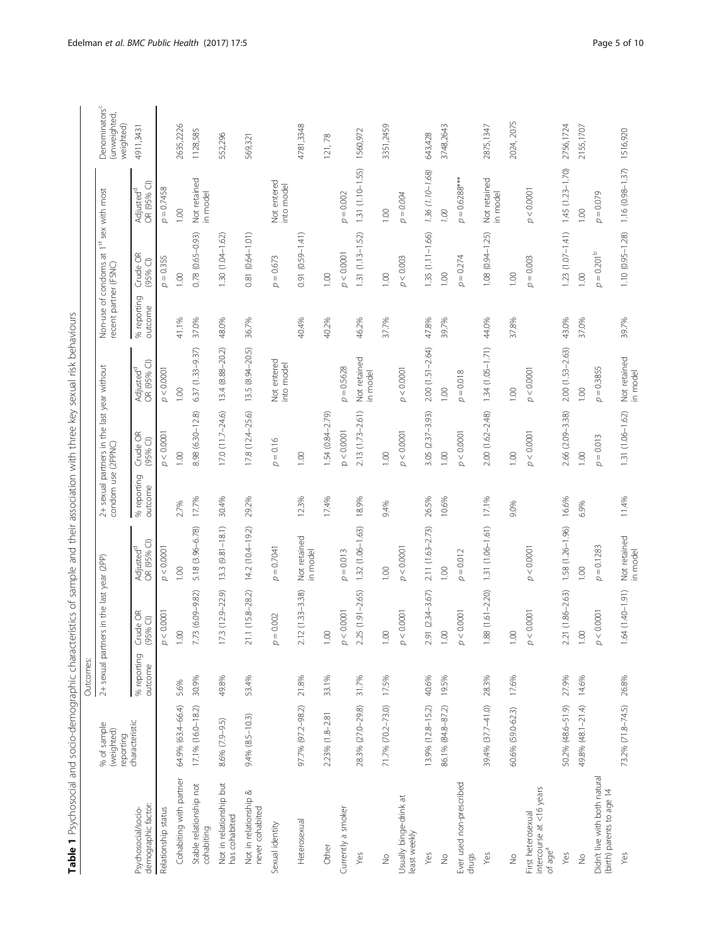| ì                   |
|---------------------|
|                     |
| ١                   |
|                     |
| į                   |
|                     |
|                     |
| ł                   |
|                     |
|                     |
|                     |
|                     |
|                     |
| Ī<br>Ì              |
| ١                   |
| í                   |
| í                   |
| j                   |
|                     |
|                     |
|                     |
| I                   |
| ï<br>ׇ֘֒<br>1       |
| :<br>ł              |
|                     |
|                     |
|                     |
|                     |
|                     |
| j                   |
| Ì                   |
|                     |
| i<br>Ś<br>ł         |
|                     |
| j<br>ī<br>ï         |
| j                   |
|                     |
| Ś                   |
|                     |
|                     |
| Į                   |
|                     |
|                     |
| ī<br>١              |
| İ<br>ć              |
|                     |
| ֕                   |
| ł                   |
|                     |
|                     |
| İ                   |
| ł<br>١              |
|                     |
| j                   |
|                     |
|                     |
| Ì                   |
|                     |
| )<br>)<br>)         |
|                     |
| i<br>j              |
| i                   |
| $\frac{1}{2}$       |
| j                   |
| č<br>j              |
| Ï                   |
|                     |
|                     |
| j                   |
| ¢                   |
|                     |
| ī                   |
| 5<br>$\overline{)}$ |
| Ċ                   |
|                     |
| Ş                   |
| 5<br>i              |
| l                   |
|                     |
| Ĕ                   |
| l<br>ł              |
| $\frac{1}{2}$       |
| i                   |
|                     |
|                     |
|                     |
| Ś<br>ł              |
| i                   |
| j<br>ï              |
|                     |
|                     |
|                     |
| ï                   |
|                     |
| $\mathcal{L}$       |
|                     |
|                     |
|                     |
|                     |
|                     |
| able                |

<span id="page-4-0"></span>

| Table 1 Psychosocial and socio-demographic charact                    |                                        | Outcomes:              |                             | eristics of sample and their association with three key sexual risk behaviours |                        |                                                                   |                                      |                        |                                         |                                      |                                                        |
|-----------------------------------------------------------------------|----------------------------------------|------------------------|-----------------------------|--------------------------------------------------------------------------------|------------------------|-------------------------------------------------------------------|--------------------------------------|------------------------|-----------------------------------------|--------------------------------------|--------------------------------------------------------|
|                                                                       | % of sample<br>(weighted)<br>reporting | 2+ sexual partr        | lers in the last year (2PP) |                                                                                |                        | 2+ sexual partners in the last year without<br>condom use (2PPNC) |                                      | recent partner (FSNC)  | Non-use of condoms at 1st sex with most |                                      | Denominators <sup>c</sup><br>(unweighted,<br>weighted) |
| demographic factor:<br>Psychosocial/socio-                            | characteristic                         | % reporting<br>outcome | Crude OR<br>$(95%$ CI)      | OR (95% CI)<br>Adjusted <sup>d</sup>                                           | % reporting<br>outcome | Crude OR<br>$(95%$ CI)                                            | OR (95% CI)<br>Adjusted <sup>d</sup> | % reporting<br>outcome | Crude OR<br>$(95%$ Cl)                  | Adjusted <sup>d</sup><br>OR (95% CI) | 4911,3431                                              |
| Relationship status                                                   |                                        |                        | p < 0.0001                  | p < 0.0001                                                                     |                        | p < 0.0001                                                        | p < 0.0001                           |                        | $p = 0.355$                             | $p = 0.7458$                         |                                                        |
| Cohabiting with partner                                               | 64.9% (63.4-66.4)                      | 5.6%                   | $\odot$                     | 1.00                                                                           | 2.7%                   | 1.00                                                              | 1.00                                 | 41.1%                  | 1.00                                    | 1.00                                 | 2635,2226                                              |
| Stable relationship not<br>cohabiting                                 | 17.1% (16.0-18.2)                      | 30.9%                  | 73 (6.09-9.82)              | 5.18 (3.96-6.78)                                                               | 17.7%                  | 8.98 (6.30-12.8)                                                  | 6.37 (1.33-9.37)                     | 37.0%                  | $0.78(0.65 - 0.93)$                     | Not retained<br>in model             | 1128,585                                               |
| Not in relationship but<br>has cohabited                              | 8.6% (7.9-9.5)                         | 49.8%                  | 7.3 (12.9-22.9)             | $13.3 (9.81 - 18.1)$                                                           | 30.4%                  | $17.0(11.7 - 24.6)$                                               | 13.4 (8.88-20.2)                     | 48.0%                  | $1.30(1.04 - 1.62)$                     |                                      | 552,296                                                |
| Not in relationship &<br>never cohabited                              | $9.4\%$ $(8.5-10.3)$                   | 53.4%                  | 21.1 (15.8-28.2)            | 14.2 (10.4-19.2)                                                               | 29.2%                  | 17.8 (12.4-25.6)                                                  | 13.5 (8.94-20.5)                     | 36.7%                  | $0.81(0.64 - 1.01)$                     |                                      | 569,321                                                |
| Sexual identity                                                       |                                        |                        | $= 0.002$                   | $p = 0.7041$                                                                   |                        | $p = 0.16$                                                        | Not entered<br>into model            |                        | $p = 0.673$                             | Not entered<br>into model            |                                                        |
| Heterosexual                                                          | 97.7% (97.2-98.2)                      | 21.8%                  | $2.12(1.33 - 3.38)$         | Not retained<br>in model                                                       | 12.3%                  | 1.00                                                              |                                      | 40.4%                  | 0.91 (0.59-1.41)                        |                                      | 4781,3348                                              |
| Other                                                                 | 2.23% (1.8-2.81                        | 33.1%                  | S                           |                                                                                | 17.4%                  | 1.54 (0.84-2.79)                                                  |                                      | 40.2%                  | 1.00                                    |                                      | 121,78                                                 |
| Currently a smoker                                                    |                                        |                        | < 0.0001                    | $p = 0.013$                                                                    |                        | p < 0.0001                                                        | $p = 0.5628$                         |                        | p < 0.0001                              | $p = 0.002$                          |                                                        |
| Yes                                                                   | 28.3% (27.0-29.8)                      | 31.7%                  | 25 (1.91-2.65)              | $1.32(1.06 - 1.63)$                                                            | 18.9%                  | 2.13 (1.73-2.61)                                                  | Not retained<br>in model             | 46.2%                  | $1.31(1.13 - 1.52)$                     | 1.31 (1.10-1.55)                     | 1560,972                                               |
| $\frac{1}{2}$                                                         | 71.7% (70.2-73.0)                      | 17.5%                  | $\odot$                     | 0.00                                                                           | 9.4%                   | 1.00                                                              |                                      | 37.7%                  | 1.00                                    | 1.00                                 | 3351,2459                                              |
| Usually binge-drink at<br>least weekly                                |                                        |                        | 0.0001                      | p < 0.0001                                                                     |                        | p < 0.0001                                                        | p < 0.0001                           |                        | p < 0.003                               | $\rho=0.004$                         |                                                        |
| Yes                                                                   | 13.9% (12.8-15.2)                      | 40.6%                  | 91 (2.34-3.67)              | 2.11 (1.63-2.73)                                                               | 26.5%                  | 3.05 (2.37-3.93)                                                  | 2.00 (1.51-2.64)                     | 47.8%                  | $1.35(1.11 - 1.66)$                     | 1.36 (1.10-1.68)                     | 643,428                                                |
| $\frac{0}{2}$                                                         | 86.1% (84.8-87.2)                      | 19.5%                  | S.                          | 1.00                                                                           | 10.6%                  | 1.00                                                              | 1.00                                 | 39.7%                  | 1.00                                    | 0.00                                 | 3748,2643                                              |
| Ever used non-prescribed<br>drugs                                     |                                        |                        | < 0.0001                    | $p = 0.012$                                                                    |                        | p < 0.0001                                                        | $p = 0.018$                          |                        | $p = 0.274$                             | $p = 0.6288***$                      |                                                        |
| Yes                                                                   | 39.4% (37.7-41.0)                      | 28.3%                  | 88 (1.61-2.20)              | $1.31(1.06 - 1.61)$                                                            | 17.1%                  | $2.00(1.62 - 2.48)$                                               | $1.34(1.05 - 1.71)$                  | 44.0%                  | $1.08(0.94 - 1.25)$                     | Not retained<br>in model             | 2875,1347                                              |
| $\frac{1}{2}$                                                         | 60.6% (59.0-62.3)                      | 17.6%                  | $\odot$                     |                                                                                | 9.0%                   | 1.00                                                              | 1.00                                 | 37.8%                  | 1.00                                    |                                      | 2024, 2075                                             |
| intercourse at <16 years<br>First heterosexual<br>of age <sup>a</sup> |                                        |                        | < 0.0001                    | p < 0.0001                                                                     |                        | p < 0.0001                                                        | p < 0.0001                           |                        | $p = 0.003$                             | p < 0.0001                           |                                                        |
| Yes                                                                   | 50.2% (48.6-51.9)                      | 27.9%                  | 21 (1.86-2.63)              | $1.58(1.26 - 1.96)$                                                            | 16.6%                  | 2.66 (2.09-3.38)                                                  | 2.00 (1.53-2.63)                     | 43.0%                  | $1.23(1.07 - 1.41)$                     | $1.45(1.23 - 1.70)$                  | 2756,1724                                              |
| $\frac{1}{2}$                                                         | 49.8% (48.1-21.4)                      | 14.6%                  | $\odot$                     | 1.00                                                                           | 6.9%                   | 1.00                                                              | 1.00                                 | 37.0%                  | 1.00                                    | 1.00                                 | 2155,1707                                              |
| Didn't live with both natural<br>(birth) parents to age 14            |                                        |                        | < 0.0001                    | $p = 0.1283$                                                                   |                        | $p = 0.013$                                                       | $p = 0.3855$                         |                        | $p = 0.201^b$                           | $p = 0.079$                          |                                                        |
| Yes                                                                   | 73.2% (71.8-74.5)                      | 26.8%                  | 64 (1.40-1.91)              | Not retained<br>in model                                                       | 11.4%                  | 1.31 (1.06-1.62)                                                  | Not retained<br>in model             | 39.7%                  | 1.10 (0.95-1.28)                        | $1.16(0.98 - 1.37)$                  | 1516,920                                               |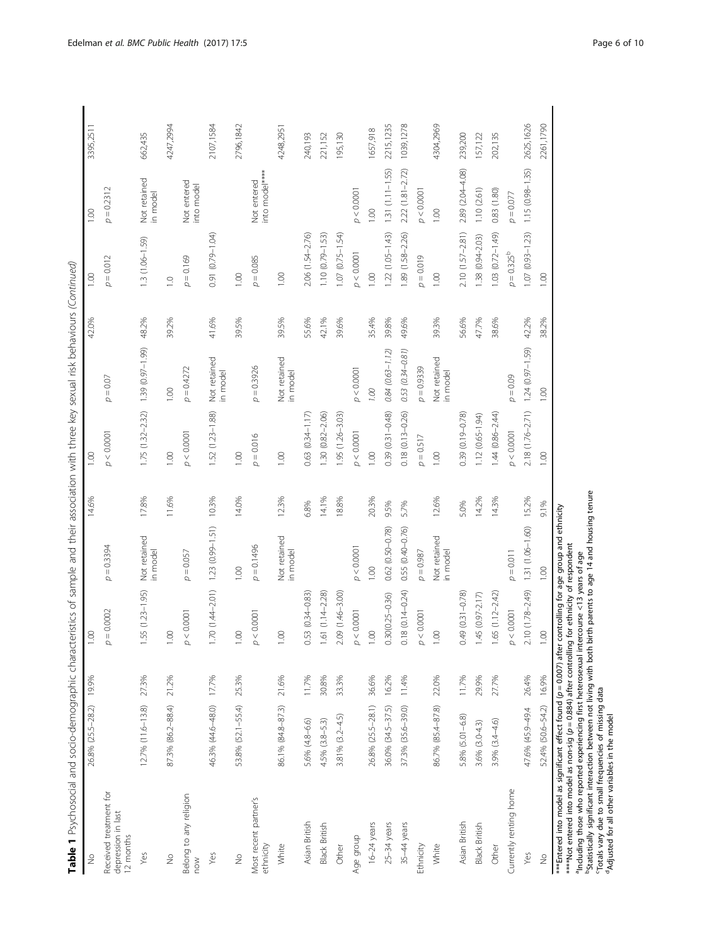| Ś<br>č<br>١<br>ï               |  |
|--------------------------------|--|
| j                              |  |
|                                |  |
|                                |  |
| I                              |  |
|                                |  |
|                                |  |
|                                |  |
| ׇ֚֓֡                           |  |
| ł                              |  |
|                                |  |
|                                |  |
|                                |  |
| $\overline{\phantom{a}}$<br>j  |  |
|                                |  |
|                                |  |
| i                              |  |
|                                |  |
| ١                              |  |
| I                              |  |
|                                |  |
|                                |  |
|                                |  |
| İ                              |  |
| Ì                              |  |
| i                              |  |
| i<br>ł                         |  |
|                                |  |
| i                              |  |
|                                |  |
| ć                              |  |
|                                |  |
|                                |  |
|                                |  |
| ł                              |  |
| į                              |  |
| $\ddot{\epsilon}$<br>j<br>i    |  |
|                                |  |
| i                              |  |
|                                |  |
| j                              |  |
| i<br>۱                         |  |
| i<br>Č                         |  |
| ׇ֬֕<br>ī<br>j                  |  |
| l                              |  |
|                                |  |
| İ                              |  |
| ļ<br>١<br>į<br>i               |  |
| i<br>I                         |  |
| Ì<br>١<br>$\ddot{\phantom{a}}$ |  |
| l                              |  |
| i<br>5                         |  |
| ׇ֚֓                            |  |
| İ                              |  |
| l<br>i                         |  |
| j                              |  |
|                                |  |
| l                              |  |
| i                              |  |
| ٤<br>Ï                         |  |
| ļ                              |  |
| i                              |  |
| í<br>l                         |  |
|                                |  |
| 1                              |  |
| ă                              |  |
|                                |  |

|                                                           | 26.8% (25.5-28.2) | 19.9% | 1.00                              |                          | 14.6% | 0.00                |                          | 42.0% | $\widetilde{5}$     | 0.00                          | 3395,2511 |
|-----------------------------------------------------------|-------------------|-------|-----------------------------------|--------------------------|-------|---------------------|--------------------------|-------|---------------------|-------------------------------|-----------|
| Received treatment for<br>depression in last<br>12 months |                   |       | $p = 0.0002$                      | $p = 0.3394$             |       | p < 0.0001          | $\rho=0.07$              |       | $p = 0.012$         | $p = 0.2312$                  |           |
| Yes                                                       | 12.7% (11.6-13.8) | 27.3% | $5(1.23 - 1.95)$<br>$\frac{5}{1}$ | Not retained<br>in model | 17.8% | $1.75(1.32 - 2.32)$ | 1.39 (0.97-1.99)         | 48.2% | $1.3(1.06 - 1.59)$  | Not retained<br>in model      | 662,435   |
| $\stackrel{\circ}{\geq}$                                  | 87.3% (86.2-88.4) | 21.2% | 1.00                              |                          | 11.6% | 1.00                | $1.00$                   | 39.2% | $\overline{C}$      |                               | 4247,2994 |
| Belong to any religion<br>now                             |                   |       | p < 0.0001                        | $p = 0.057$              |       | p < 0.0001          | $p = 0.4272$             |       | $p = 0.169$         | Not entered<br>into model     |           |
| Yes                                                       | 46.3% (44.6-48.0) | 17.7% | $1.70(1.44 - 2.01)$               | $1.23$ $(0.99 - 1.51)$   | 10.3% | $1.52(1.23 - 1.88)$ | Not retained<br>in model | 41.6% | 0.91 (0.79-1.04)    |                               | 2107,1584 |
| $\stackrel{\circ}{\geq}$                                  | 53.8% (52.1-55.4) | 25.3% | 1.00                              | 1.00                     | 14.0% | 1.00                |                          | 39.5% | 1.00                |                               | 2796,1842 |
| Most recent partner's<br>ethnicity                        |                   |       | p < 0.0001                        | $p = 0.1496$             |       | $p = 0.016$         | $p = 0.3926$             |       | $p = 0.085$         | into model****<br>Not entered |           |
| White                                                     | 86.1% (84.8-87.3) | 21.6% | 1.00                              | Not retained<br>in model | 12.3% | 1.00                | Not retained<br>in model | 39.5% | 1.00                |                               | 4248,295  |
| Asian British                                             | 5.6% (4.8-6.6)    | 11.7% | 0.53 (0.34-0.83)                  |                          | 6.8%  | 0.63 (0.34-1.17)    |                          | 55.6% | 2.06 (1.54-2.76)    |                               | 240,193   |
| <b>Black British</b>                                      | 4.5% (3.8-5.3)    | 30.8% | $1.61(1.14 - 2.28)$               |                          | 14.1% | 1.30 (0.82-2.06)    |                          | 42.1% | $1.10(0.79 - 1.53)$ |                               | 221,152   |
| Other                                                     | 3.81% (3.2-4.5)   | 33.3% | 2.09 (1.46-3.00)                  |                          | 18.8% | 1.95 (1.26-3.03)    |                          | 39.6% | $1.07(0.75 - 1.54)$ |                               | 195,130   |
| Age group                                                 |                   |       | p < 0.0001                        | p < 0.0001               |       | p < 0.0001          | p < 0.0001               |       | p < 0.0001          | p < 0.0001                    |           |
| $16 - 24$ years                                           | 26.8% (25.5-28.1) | 36.6% | 1.00                              | 1.00                     | 20.3% | 1.00                | 1.00                     | 35.4% | 1.00                | 1.00                          | 1657,918  |
| $25-34$ years                                             | 36.0% (34.5-37.5) | 16.2% | $0.30(0.25 - 0.36)$               | 0.62 (0.50-0.78)         | 9.5%  | $0.39(0.31 - 0.48)$ | 0.84 (0.63-1.12)         | 39.8% | $1.22(1.05 - 1.43)$ | $1.31(1.11 - 1.55)$           | 2215,1235 |
| 35-44 years                                               | 37.3% (35.6-39.0) | 11.4% | $0.18(0.14 - 0.24)$               | 0.55 (0.40-0.76)         | 5.7%  | $0.18(0.13 - 0.26)$ | 0.53 (0.34-0.81)         | 49.6% | 1.89 (1.58-2.26)    | $2.22(1.81 - 2.72)$           | 1039,1278 |
| Ethnicity                                                 |                   |       | p < 0.0001                        | $p = 0.987$              |       | $p = 0.517$         | $p = 0.9339$             |       | $p = 0.019$         | p < 0.0001                    |           |
| White                                                     | 86.7% (85.4-87.8) | 22.0% | 1.00                              | Not retained<br>in model | 12.6% | 1.00                | Not retained<br>in model | 39.3% | 1.00                | 1.00                          | 4304,2969 |
| Asian British                                             | 5.8% (5.01-6.8)   | 11.7% | 0.49 (0.31-0.78)                  |                          | 5.0%  | 0.39 (0.19-0.78)    |                          | 56.6% | $2.10(1.57 - 2.81)$ | 2.89 (2.04-4.08)              | 239,200   |
| <b>Black British</b>                                      | 3.6% (3.0-4.3)    | 29.9% | $1.45(0.97 - 2.17)$               |                          | 14.2% | $1.12(0.65 - 1.94)$ |                          | 47.7% | 1.38 (0.94-2.03)    | 1.10(2.61)                    | 157,122   |
| Other                                                     | 3.9% (3.4-4.6)    | 27.7% | $1.65(1.12 - 2.42)$               |                          | 14.3% | $1.44(0.86 - 2.44)$ |                          | 38.6% | $1.03(0.72 - 1.49)$ | 0.83 (1.80)                   | 202,135   |
| Currently renting home                                    |                   |       | p < 0.0001                        | $p = 0.011$              |       | p < 0.0001          | $\rho = 0.09$            |       | $p = 0.325^{b}$     | $p = 0.077$                   |           |
| Yes                                                       | 47.6% (45.9-49.4  | 26.4% | 2.10 (1.78-2.49)                  | 1.31 (1.06-1.60)         | 15.2% | 2.18 (1.76-2.71)    | $1.24(0.97 - 1.59)$      | 42.2% | $1.07(0.93 - 1.23)$ | $1.15(0.98 - 1.35)$           | 2625,1626 |
| $\frac{1}{2}$                                             | 52.4% (50.6-54.2) | 16.9% | 1.00                              | 1.00                     | 9.1%  | 1.00                | 1.00                     | 38.2% | 1.00                |                               | 2261,1790 |

Edelman et al. BMC Public Health (2017) 17:5 Page 6 of 10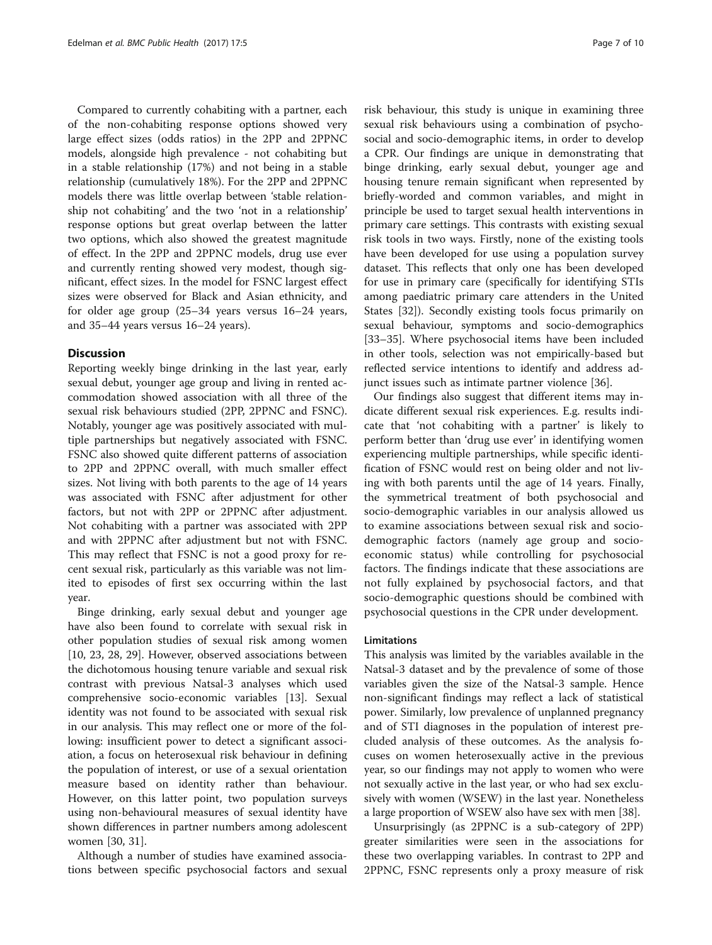Compared to currently cohabiting with a partner, each of the non-cohabiting response options showed very large effect sizes (odds ratios) in the 2PP and 2PPNC models, alongside high prevalence - not cohabiting but in a stable relationship (17%) and not being in a stable relationship (cumulatively 18%). For the 2PP and 2PPNC models there was little overlap between 'stable relationship not cohabiting' and the two 'not in a relationship' response options but great overlap between the latter two options, which also showed the greatest magnitude of effect. In the 2PP and 2PPNC models, drug use ever and currently renting showed very modest, though significant, effect sizes. In the model for FSNC largest effect sizes were observed for Black and Asian ethnicity, and for older age group (25–34 years versus 16–24 years, and 35–44 years versus 16–24 years).

# **Discussion**

Reporting weekly binge drinking in the last year, early sexual debut, younger age group and living in rented accommodation showed association with all three of the sexual risk behaviours studied (2PP, 2PPNC and FSNC). Notably, younger age was positively associated with multiple partnerships but negatively associated with FSNC. FSNC also showed quite different patterns of association to 2PP and 2PPNC overall, with much smaller effect sizes. Not living with both parents to the age of 14 years was associated with FSNC after adjustment for other factors, but not with 2PP or 2PPNC after adjustment. Not cohabiting with a partner was associated with 2PP and with 2PPNC after adjustment but not with FSNC. This may reflect that FSNC is not a good proxy for recent sexual risk, particularly as this variable was not limited to episodes of first sex occurring within the last year.

Binge drinking, early sexual debut and younger age have also been found to correlate with sexual risk in other population studies of sexual risk among women [[10, 23, 28](#page-8-0), [29](#page-8-0)]. However, observed associations between the dichotomous housing tenure variable and sexual risk contrast with previous Natsal-3 analyses which used comprehensive socio-economic variables [[13\]](#page-8-0). Sexual identity was not found to be associated with sexual risk in our analysis. This may reflect one or more of the following: insufficient power to detect a significant association, a focus on heterosexual risk behaviour in defining the population of interest, or use of a sexual orientation measure based on identity rather than behaviour. However, on this latter point, two population surveys using non-behavioural measures of sexual identity have shown differences in partner numbers among adolescent women [[30, 31](#page-8-0)].

Although a number of studies have examined associations between specific psychosocial factors and sexual

risk behaviour, this study is unique in examining three sexual risk behaviours using a combination of psychosocial and socio-demographic items, in order to develop a CPR. Our findings are unique in demonstrating that binge drinking, early sexual debut, younger age and housing tenure remain significant when represented by briefly-worded and common variables, and might in principle be used to target sexual health interventions in primary care settings. This contrasts with existing sexual risk tools in two ways. Firstly, none of the existing tools have been developed for use using a population survey dataset. This reflects that only one has been developed for use in primary care (specifically for identifying STIs among paediatric primary care attenders in the United States [\[32](#page-8-0)]). Secondly existing tools focus primarily on sexual behaviour, symptoms and socio-demographics [[33](#page-8-0)–[35](#page-9-0)]. Where psychosocial items have been included in other tools, selection was not empirically-based but reflected service intentions to identify and address adjunct issues such as intimate partner violence [\[36](#page-9-0)].

Our findings also suggest that different items may indicate different sexual risk experiences. E.g. results indicate that 'not cohabiting with a partner' is likely to perform better than 'drug use ever' in identifying women experiencing multiple partnerships, while specific identification of FSNC would rest on being older and not living with both parents until the age of 14 years. Finally, the symmetrical treatment of both psychosocial and socio-demographic variables in our analysis allowed us to examine associations between sexual risk and sociodemographic factors (namely age group and socioeconomic status) while controlling for psychosocial factors. The findings indicate that these associations are not fully explained by psychosocial factors, and that socio-demographic questions should be combined with psychosocial questions in the CPR under development.

# Limitations

This analysis was limited by the variables available in the Natsal-3 dataset and by the prevalence of some of those variables given the size of the Natsal-3 sample. Hence non-significant findings may reflect a lack of statistical power. Similarly, low prevalence of unplanned pregnancy and of STI diagnoses in the population of interest precluded analysis of these outcomes. As the analysis focuses on women heterosexually active in the previous year, so our findings may not apply to women who were not sexually active in the last year, or who had sex exclusively with women (WSEW) in the last year. Nonetheless a large proportion of WSEW also have sex with men [[38](#page-9-0)].

Unsurprisingly (as 2PPNC is a sub-category of 2PP) greater similarities were seen in the associations for these two overlapping variables. In contrast to 2PP and 2PPNC, FSNC represents only a proxy measure of risk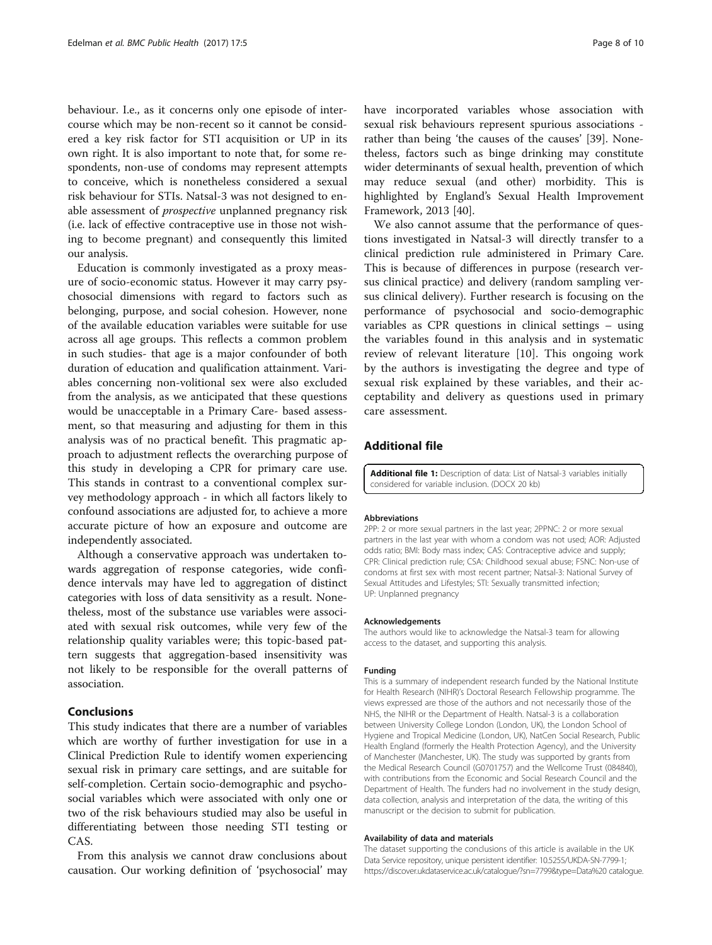<span id="page-7-0"></span>behaviour. I.e., as it concerns only one episode of intercourse which may be non-recent so it cannot be considered a key risk factor for STI acquisition or UP in its own right. It is also important to note that, for some respondents, non-use of condoms may represent attempts to conceive, which is nonetheless considered a sexual risk behaviour for STIs. Natsal-3 was not designed to enable assessment of prospective unplanned pregnancy risk (i.e. lack of effective contraceptive use in those not wishing to become pregnant) and consequently this limited our analysis.

Education is commonly investigated as a proxy measure of socio-economic status. However it may carry psychosocial dimensions with regard to factors such as belonging, purpose, and social cohesion. However, none of the available education variables were suitable for use across all age groups. This reflects a common problem in such studies- that age is a major confounder of both duration of education and qualification attainment. Variables concerning non-volitional sex were also excluded from the analysis, as we anticipated that these questions would be unacceptable in a Primary Care- based assessment, so that measuring and adjusting for them in this analysis was of no practical benefit. This pragmatic approach to adjustment reflects the overarching purpose of this study in developing a CPR for primary care use. This stands in contrast to a conventional complex survey methodology approach - in which all factors likely to confound associations are adjusted for, to achieve a more accurate picture of how an exposure and outcome are independently associated.

Although a conservative approach was undertaken towards aggregation of response categories, wide confidence intervals may have led to aggregation of distinct categories with loss of data sensitivity as a result. Nonetheless, most of the substance use variables were associated with sexual risk outcomes, while very few of the relationship quality variables were; this topic-based pattern suggests that aggregation-based insensitivity was not likely to be responsible for the overall patterns of association.

# Conclusions

This study indicates that there are a number of variables which are worthy of further investigation for use in a Clinical Prediction Rule to identify women experiencing sexual risk in primary care settings, and are suitable for self-completion. Certain socio-demographic and psychosocial variables which were associated with only one or two of the risk behaviours studied may also be useful in differentiating between those needing STI testing or CAS.

From this analysis we cannot draw conclusions about causation. Our working definition of 'psychosocial' may have incorporated variables whose association with sexual risk behaviours represent spurious associations rather than being 'the causes of the causes' [[39](#page-9-0)]. Nonetheless, factors such as binge drinking may constitute wider determinants of sexual health, prevention of which may reduce sexual (and other) morbidity. This is highlighted by England's Sexual Health Improvement Framework, 2013 [\[40\]](#page-9-0).

We also cannot assume that the performance of questions investigated in Natsal-3 will directly transfer to a clinical prediction rule administered in Primary Care. This is because of differences in purpose (research versus clinical practice) and delivery (random sampling versus clinical delivery). Further research is focusing on the performance of psychosocial and socio-demographic variables as CPR questions in clinical settings – using the variables found in this analysis and in systematic review of relevant literature [[10\]](#page-8-0). This ongoing work by the authors is investigating the degree and type of sexual risk explained by these variables, and their acceptability and delivery as questions used in primary care assessment.

# Additional file

[Additional file 1:](dx.doi.org/10.1186/s12889-016-3918-8) Description of data: List of Natsal-3 variables initially considered for variable inclusion. (DOCX 20 kb)

#### Abbreviations

2PP: 2 or more sexual partners in the last year; 2PPNC: 2 or more sexual partners in the last year with whom a condom was not used; AOR: Adjusted odds ratio; BMI: Body mass index; CAS: Contraceptive advice and supply; CPR: Clinical prediction rule; CSA: Childhood sexual abuse; FSNC: Non-use of condoms at first sex with most recent partner; Natsal-3: National Survey of Sexual Attitudes and Lifestyles; STI: Sexually transmitted infection; UP: Unplanned pregnancy

#### Acknowledgements

The authors would like to acknowledge the Natsal-3 team for allowing access to the dataset, and supporting this analysis.

#### Funding

This is a summary of independent research funded by the National Institute for Health Research (NIHR)'s Doctoral Research Fellowship programme. The views expressed are those of the authors and not necessarily those of the NHS, the NIHR or the Department of Health. Natsal-3 is a collaboration between University College London (London, UK), the London School of Hygiene and Tropical Medicine (London, UK), NatCen Social Research, Public Health England (formerly the Health Protection Agency), and the University of Manchester (Manchester, UK). The study was supported by grants from the Medical Research Council (G0701757) and the Wellcome Trust (084840), with contributions from the Economic and Social Research Council and the Department of Health. The funders had no involvement in the study design, data collection, analysis and interpretation of the data, the writing of this manuscript or the decision to submit for publication.

### Availability of data and materials

The dataset supporting the conclusions of this article is available in the UK Data Service repository, unique persistent identifier: [10.5255/UKDA-SN-7799-1;](http://dx.doi.org/10.5255/UKDA-SN-7799-1) <https://discover.ukdataservice.ac.uk/catalogue/?sn=7799&type=Data%20> catalogue.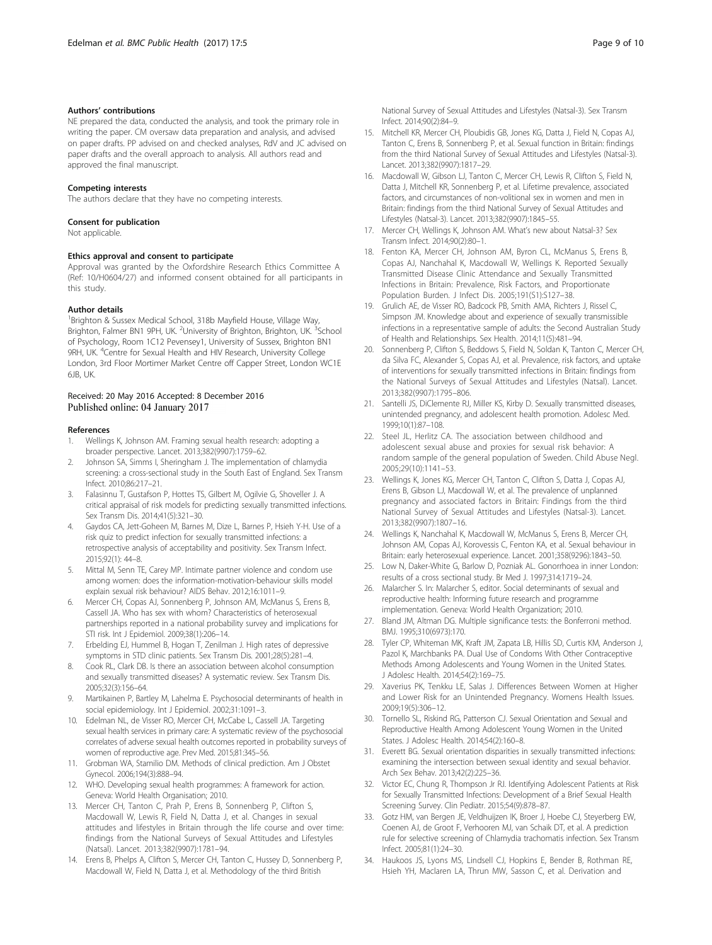### <span id="page-8-0"></span>Authors' contributions

NE prepared the data, conducted the analysis, and took the primary role in writing the paper. CM oversaw data preparation and analysis, and advised on paper drafts. PP advised on and checked analyses, RdV and JC advised on paper drafts and the overall approach to analysis. All authors read and approved the final manuscript.

#### Competing interests

The authors declare that they have no competing interests.

#### Consent for publication

Not applicable.

#### Ethics approval and consent to participate

Approval was granted by the Oxfordshire Research Ethics Committee A (Ref: 10/H0604/27) and informed consent obtained for all participants in this study.

#### Author details

<sup>1</sup> Brighton & Sussex Medical School, 318b Mayfield House, Village Way, Brighton, Falmer BN1 9PH, UK. <sup>2</sup>University of Brighton, Brighton, UK. <sup>3</sup>School of Psychology, Room 1C12 Pevensey1, University of Sussex, Brighton BN1 9RH, UK. <sup>4</sup>Centre for Sexual Health and HIV Research, University College London, 3rd Floor Mortimer Market Centre off Capper Street, London WC1E 6JB, UK.

### Received: 20 May 2016 Accepted: 8 December 2016 Published online: 04 January 2017

#### References

- 1. Wellings K, Johnson AM. Framing sexual health research: adopting a broader perspective. Lancet. 2013;382(9907):1759–62.
- 2. Johnson SA, Simms I, Sheringham J. The implementation of chlamydia screening: a cross-sectional study in the South East of England. Sex Transm Infect. 2010;86:217–21.
- 3. Falasinnu T, Gustafson P, Hottes TS, Gilbert M, Ogilvie G, Shoveller J. A critical appraisal of risk models for predicting sexually transmitted infections. Sex Transm Dis. 2014;41(5):321–30.
- 4. Gaydos CA, Jett-Goheen M, Barnes M, Dize L, Barnes P, Hsieh Y-H. Use of a risk quiz to predict infection for sexually transmitted infections: a retrospective analysis of acceptability and positivity. Sex Transm Infect. 2015;92(1): 44–8.
- 5. Mittal M, Senn TE, Carey MP. Intimate partner violence and condom use among women: does the information-motivation-behaviour skills model explain sexual risk behaviour? AIDS Behav. 2012;16:1011–9.
- 6. Mercer CH, Copas AJ, Sonnenberg P, Johnson AM, McManus S, Erens B, Cassell JA. Who has sex with whom? Characteristics of heterosexual partnerships reported in a national probability survey and implications for STI risk. Int J Epidemiol. 2009;38(1):206–14.
- 7. Erbelding EJ, Hummel B, Hogan T, Zenilman J. High rates of depressive symptoms in STD clinic patients. Sex Transm Dis. 2001;28(5):281–4.
- 8. Cook RL, Clark DB. Is there an association between alcohol consumption and sexually transmitted diseases? A systematic review. Sex Transm Dis. 2005;32(3):156–64.
- 9. Martikainen P, Bartley M, Lahelma E. Psychosocial determinants of health in social epidemiology. Int J Epidemiol. 2002;31:1091–3.
- 10. Edelman NL, de Visser RO, Mercer CH, McCabe L, Cassell JA. Targeting sexual health services in primary care: A systematic review of the psychosocial correlates of adverse sexual health outcomes reported in probability surveys of women of reproductive age. Prev Med. 2015;81:345–56.
- 11. Grobman WA, Stamilio DM. Methods of clinical prediction. Am J Obstet Gynecol. 2006;194(3):888–94.
- 12. WHO. Developing sexual health programmes: A framework for action. Geneva: World Health Organisation; 2010.
- 13. Mercer CH, Tanton C, Prah P, Erens B, Sonnenberg P, Clifton S, Macdowall W, Lewis R, Field N, Datta J, et al. Changes in sexual attitudes and lifestyles in Britain through the life course and over time: findings from the National Surveys of Sexual Attitudes and Lifestyles (Natsal). Lancet. 2013;382(9907):1781–94.
- 14. Erens B, Phelps A, Clifton S, Mercer CH, Tanton C, Hussey D, Sonnenberg P, Macdowall W, Field N, Datta J, et al. Methodology of the third British

National Survey of Sexual Attitudes and Lifestyles (Natsal-3). Sex Transm Infect. 2014;90(2):84–9.

- 15. Mitchell KR, Mercer CH, Ploubidis GB, Jones KG, Datta J, Field N, Copas AJ, Tanton C, Erens B, Sonnenberg P, et al. Sexual function in Britain: findings from the third National Survey of Sexual Attitudes and Lifestyles (Natsal-3). Lancet. 2013;382(9907):1817–29.
- 16. Macdowall W, Gibson LJ, Tanton C, Mercer CH, Lewis R, Clifton S, Field N, Datta J, Mitchell KR, Sonnenberg P, et al. Lifetime prevalence, associated factors, and circumstances of non-volitional sex in women and men in Britain: findings from the third National Survey of Sexual Attitudes and Lifestyles (Natsal-3). Lancet. 2013;382(9907):1845–55.
- 17. Mercer CH, Wellings K, Johnson AM. What's new about Natsal-3? Sex Transm Infect. 2014;90(2):80–1.
- 18. Fenton KA, Mercer CH, Johnson AM, Byron CL, McManus S, Erens B, Copas AJ, Nanchahal K, Macdowall W, Wellings K. Reported Sexually Transmitted Disease Clinic Attendance and Sexually Transmitted Infections in Britain: Prevalence, Risk Factors, and Proportionate Population Burden. J Infect Dis. 2005;191(S1):S127–38.
- 19. Grulich AE, de Visser RO, Badcock PB, Smith AMA, Richters J, Rissel C, Simpson JM. Knowledge about and experience of sexually transmissible infections in a representative sample of adults: the Second Australian Study of Health and Relationships. Sex Health. 2014;11(5):481–94.
- 20. Sonnenberg P, Clifton S, Beddows S, Field N, Soldan K, Tanton C, Mercer CH, da Silva FC, Alexander S, Copas AJ, et al. Prevalence, risk factors, and uptake of interventions for sexually transmitted infections in Britain: findings from the National Surveys of Sexual Attitudes and Lifestyles (Natsal). Lancet. 2013;382(9907):1795–806.
- 21. Santelli JS, DiClemente RJ, Miller KS, Kirby D. Sexually transmitted diseases, unintended pregnancy, and adolescent health promotion. Adolesc Med. 1999;10(1):87–108.
- 22. Steel JL, Herlitz CA. The association between childhood and adolescent sexual abuse and proxies for sexual risk behavior: A random sample of the general population of Sweden. Child Abuse Negl. 2005;29(10):1141–53.
- 23. Wellings K, Jones KG, Mercer CH, Tanton C, Clifton S, Datta J, Copas AJ, Erens B, Gibson LJ, Macdowall W, et al. The prevalence of unplanned pregnancy and associated factors in Britain: Findings from the third National Survey of Sexual Attitudes and Lifestyles (Natsal-3). Lancet. 2013;382(9907):1807–16.
- 24. Wellings K, Nanchahal K, Macdowall W, McManus S, Erens B, Mercer CH, Johnson AM, Copas AJ, Korovessis C, Fenton KA, et al. Sexual behaviour in Britain: early heterosexual experience. Lancet. 2001;358(9296):1843–50.
- 25. Low N, Daker-White G, Barlow D, Pozniak AL. Gonorrhoea in inner London: results of a cross sectional study. Br Med J. 1997;314:1719–24.
- 26. Malarcher S. In: Malarcher S, editor. Social determinants of sexual and reproductive health: Informing future research and programme implementation. Geneva: World Health Organization; 2010.
- 27. Bland JM, Altman DG. Multiple significance tests: the Bonferroni method. BMJ. 1995;310(6973):170.
- 28. Tyler CP, Whiteman MK, Kraft JM, Zapata LB, Hillis SD, Curtis KM, Anderson J, Pazol K, Marchbanks PA. Dual Use of Condoms With Other Contraceptive Methods Among Adolescents and Young Women in the United States. J Adolesc Health. 2014;54(2):169–75.
- 29. Xaverius PK, Tenkku LE, Salas J. Differences Between Women at Higher and Lower Risk for an Unintended Pregnancy. Womens Health Issues. 2009;19(5):306–12.
- 30. Tornello SL, Riskind RG, Patterson CJ. Sexual Orientation and Sexual and Reproductive Health Among Adolescent Young Women in the United States. J Adolesc Health. 2014;54(2):160–8.
- 31. Everett BG. Sexual orientation disparities in sexually transmitted infections: examining the intersection between sexual identity and sexual behavior. Arch Sex Behav. 2013;42(2):225–36.
- 32. Victor EC, Chung R, Thompson Jr RJ. Identifying Adolescent Patients at Risk for Sexually Transmitted Infections: Development of a Brief Sexual Health Screening Survey. Clin Pediatr. 2015;54(9):878–87.
- 33. Gotz HM, van Bergen JE, Veldhuijzen IK, Broer J, Hoebe CJ, Steyerberg EW, Coenen AJ, de Groot F, Verhooren MJ, van Schaik DT, et al. A prediction rule for selective screening of Chlamydia trachomatis infection. Sex Transm Infect. 2005;81(1):24–30.
- 34. Haukoos JS, Lyons MS, Lindsell CJ, Hopkins E, Bender B, Rothman RE, Hsieh YH, Maclaren LA, Thrun MW, Sasson C, et al. Derivation and